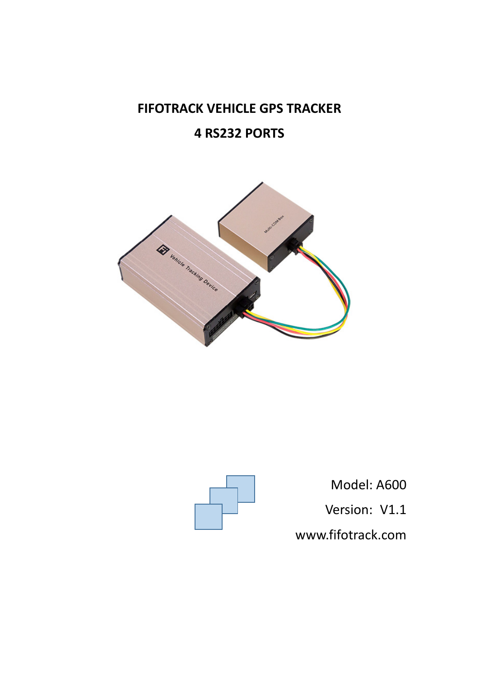# **FIFOTRACK VEHICLE GPS TRACKER**

# **4 RS232 PORTS**





Model: A600 Version: V1.1 [www.fifotrack.com](http://www.fifotrack.com/)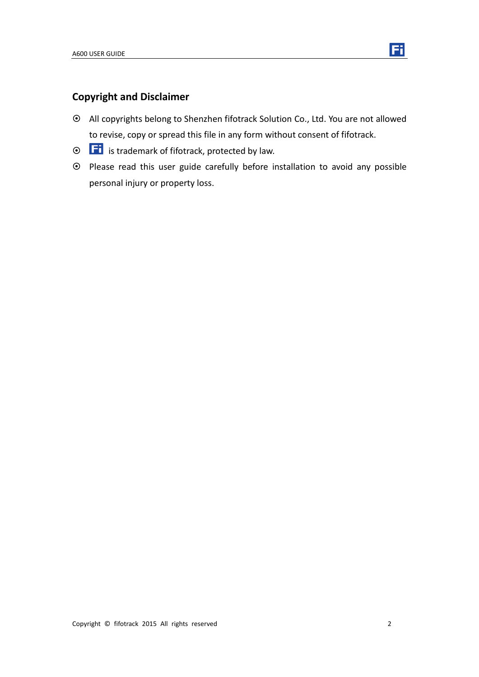

## **Copyright and Disclaimer**

- All copyrights belong to Shenzhen fifotrack Solution Co., Ltd. You are not allowed to revise, copy or spread this file in any form without consent of fifotrack.
- $\odot$   $\Box$  is trademark of fifotrack, protected by law.
- Please read this user guide carefully before installation to avoid any possible personal injury or property loss.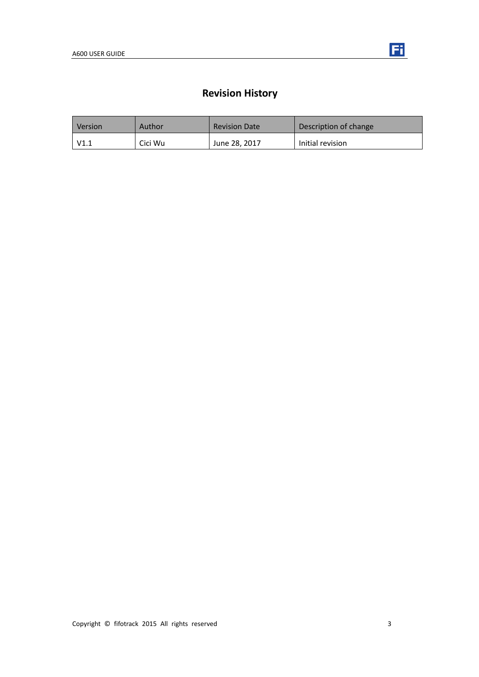

# **Revision History**

| Version | Author  | <b>Revision Date</b> | Description of change |
|---------|---------|----------------------|-----------------------|
| V1.1    | Cici Wu | June 28, 2017        | Initial revision      |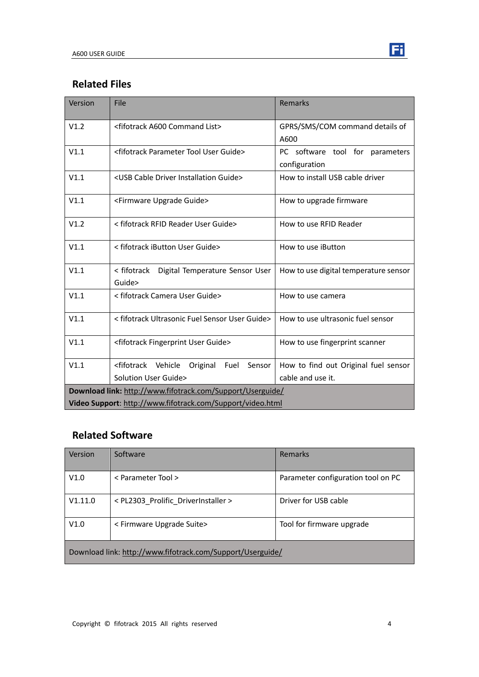

| Version                                                    | File                                                              | Remarks                                          |  |
|------------------------------------------------------------|-------------------------------------------------------------------|--------------------------------------------------|--|
| V1.2                                                       | <fifotrack a600="" command="" list=""></fifotrack>                | GPRS/SMS/COM command details of                  |  |
| V1.1                                                       | <fifotrack guide="" parameter="" tool="" user=""></fifotrack>     | A600                                             |  |
|                                                            |                                                                   | PC software tool for parameters<br>configuration |  |
| V1.1                                                       | <usb cable="" driver="" guide="" installation=""></usb>           | How to install USB cable driver                  |  |
| V1.1                                                       | <firmware guide="" upgrade=""></firmware>                         | How to upgrade firmware                          |  |
| V1.2                                                       | < fifotrack RFID Reader User Guide>                               | How to use RFID Reader                           |  |
| V1.1                                                       | < fifotrack iButton User Guide>                                   | How to use iButton                               |  |
| V1.1                                                       | < fifotrack  Digital Temperature Sensor User<br>Guide>            | How to use digital temperature sensor            |  |
| V1.1                                                       | < fifotrack Camera User Guide>                                    | How to use camera                                |  |
| V1.1                                                       | < fifotrack Ultrasonic Fuel Sensor User Guide>                    | How to use ultrasonic fuel sensor                |  |
| V1.1                                                       | <fifotrack fingerprint="" guide="" user=""></fifotrack>           | How to use fingerprint scanner                   |  |
| V1.1                                                       | <fifotrack vehicle<br="">Fuel<br/>Sensor<br/>Original</fifotrack> | How to find out Original fuel sensor             |  |
|                                                            | Solution User Guide>                                              | cable and use it.                                |  |
| Download link: http://www.fifotrack.com/Support/Userguide/ |                                                                   |                                                  |  |
| Video Support: http://www.fifotrack.com/Support/video.html |                                                                   |                                                  |  |

# **Related Software**

| Version                                                    | Software                            | Remarks                            |  |
|------------------------------------------------------------|-------------------------------------|------------------------------------|--|
| V1.0                                                       | < Parameter Tool >                  | Parameter configuration tool on PC |  |
| V1.11.0                                                    | < PL2303 Prolific DriverInstaller > | Driver for USB cable               |  |
| V1.0                                                       | < Firmware Upgrade Suite>           | Tool for firmware upgrade          |  |
| Download link: http://www.fifotrack.com/Support/Userguide/ |                                     |                                    |  |

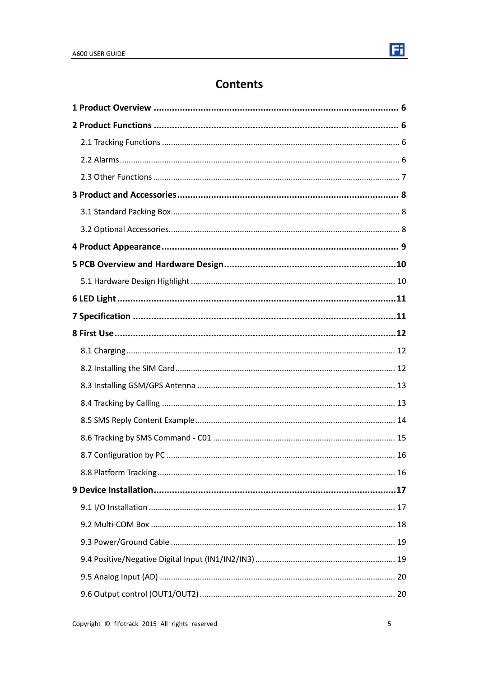

# **Contents**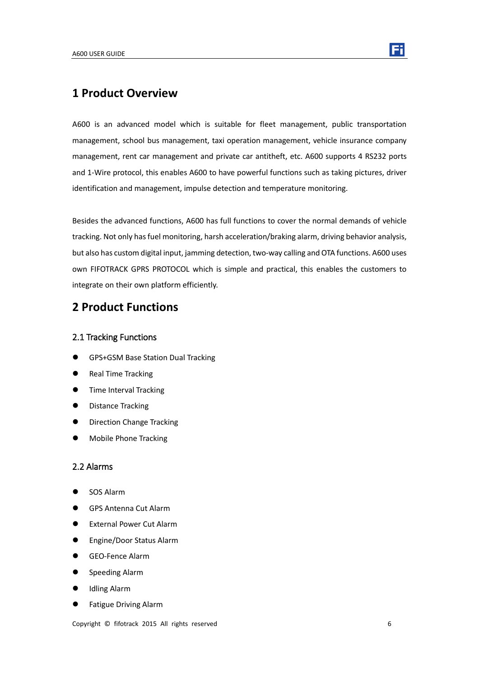

## <span id="page-5-0"></span>**1 Product Overview**

A600 is an advanced model which is suitable for fleet management, public transportation management, school bus management, taxi operation management, vehicle insurance company management, rent car management and private car antitheft, etc. A600 supports 4 RS232 ports and 1-Wire protocol, this enables A600 to have powerful functions such as taking pictures, driver identification and management, impulse detection and temperature monitoring.

Besides the advanced functions, A600 has full functions to cover the normal demands of vehicle tracking. Not only has fuel monitoring, harsh acceleration/braking alarm, driving behavior analysis, but also has custom digital input, jamming detection, two-way calling and OTA functions. A600 uses own FIFOTRACK GPRS PROTOCOL which is simple and practical, this enables the customers to integrate on their own platform efficiently.

## <span id="page-5-1"></span>**2 Product Functions**

#### <span id="page-5-2"></span>2.1 Tracking Functions

- **GPS+GSM Base Station Dual Tracking**
- Real Time Tracking
- **Time Interval Tracking**
- **•** Distance Tracking
- Direction Change Tracking
- <span id="page-5-3"></span>Mobile Phone Tracking

#### 2.2 Alarms

- SOS Alarm
- GPS Antenna Cut Alarm
- External Power Cut Alarm
- Engine/Door Status Alarm
- GEO-Fence Alarm
- **•** Speeding Alarm
- Idling Alarm
- Fatigue Driving Alarm

Copyright © fifotrack 2015 All rights reserved 6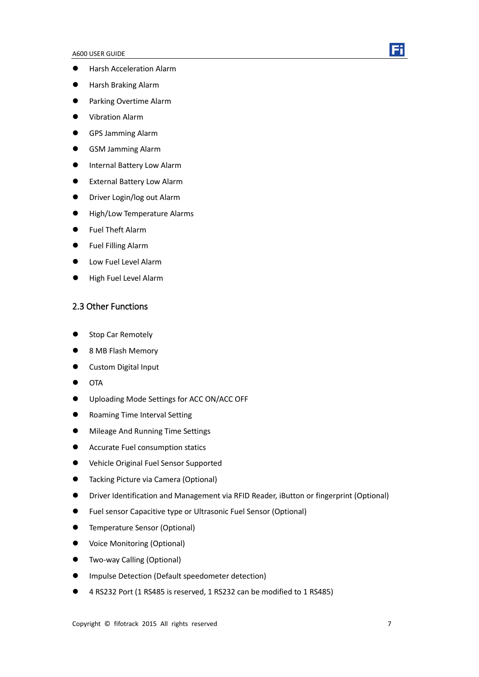- Harsh Acceleration Alarm
- Harsh Braking Alarm
- **•** Parking Overtime Alarm
- Vibration Alarm
- GPS Jamming Alarm
- GSM Jamming Alarm
- **•** Internal Battery Low Alarm
- External Battery Low Alarm
- **•** Driver Login/log out Alarm
- **•** High/Low Temperature Alarms
- Fuel Theft Alarm
- **•** Fuel Filling Alarm
- **•** Low Fuel Level Alarm
- <span id="page-6-0"></span>High Fuel Level Alarm

#### 2.3 Other Functions

- Stop Car Remotely
- 8 MB Flash Memory
- **•** Custom Digital Input
- $\bullet$  OTA
- Uploading Mode Settings for ACC ON/ACC OFF
- **•** Roaming Time Interval Setting
- Mileage And Running Time Settings
- **•** Accurate Fuel consumption statics
- Vehicle Original Fuel Sensor Supported
- **•** Tacking Picture via Camera (Optional)
- Driver Identification and Management via RFID Reader, iButton or fingerprint (Optional)
- Fuel sensor Capacitive type or Ultrasonic Fuel Sensor (Optional)
- **•** Temperature Sensor (Optional)
- Voice Monitoring (Optional)
- Two-way Calling (Optional)
- Impulse Detection (Default speedometer detection)
- 4 RS232 Port (1 RS485 is reserved, 1 RS232 can be modified to 1 RS485)

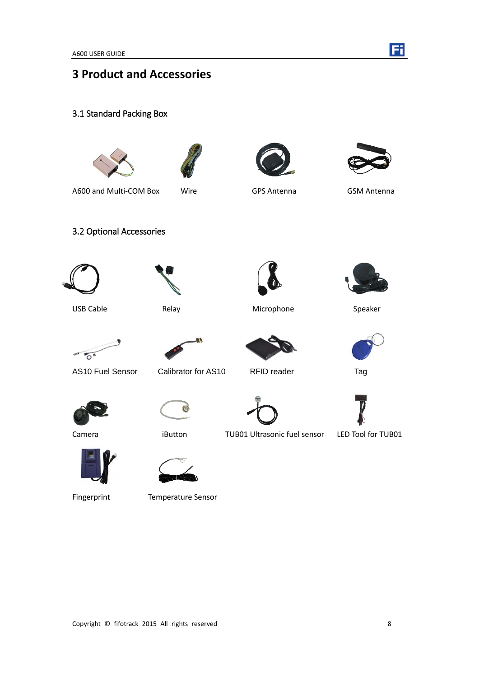

# <span id="page-7-0"></span>**3 Product and Accessories**

<span id="page-7-1"></span>3.1 Standard Packing Box







A600 and Multi-COM Box Wire GPS Antenna GSM Antenna

<span id="page-7-2"></span>

3.2 Optional Accessories







USB Cable **Relay** Relay **Microphone** Speaker



















Fingerprint Temperature Sensor



Camera **iButton** TUB01 Ultrasonic fuel sensor LED Tool for TUB01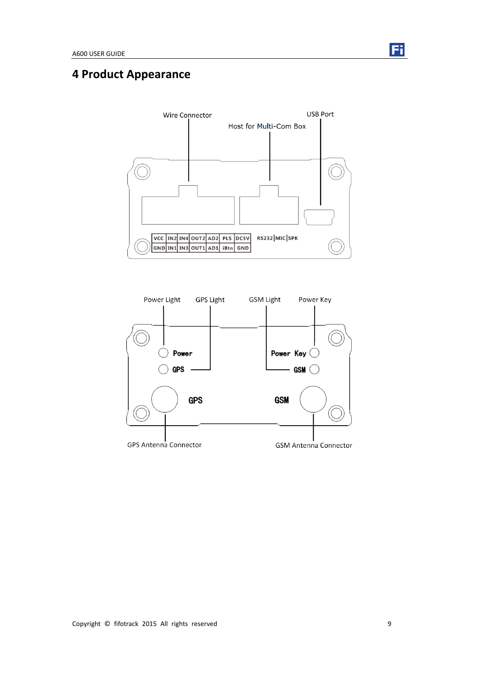

# <span id="page-8-0"></span>**4 Product Appearance**



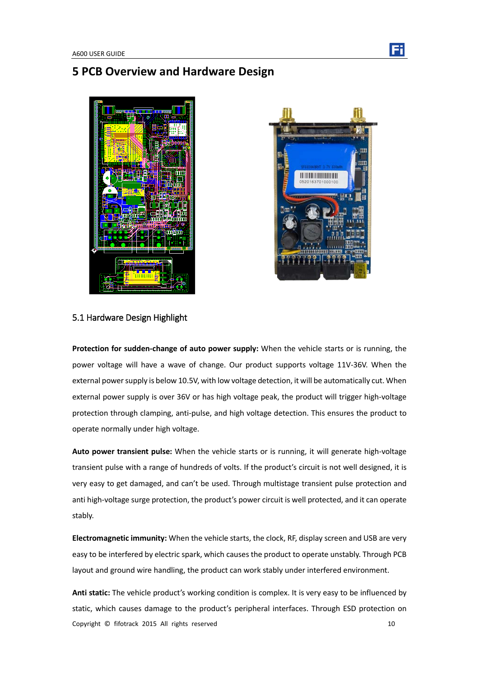# <span id="page-9-0"></span>**5 PCB Overview and Hardware Design**





### <span id="page-9-1"></span>5.1 Hardware Design Highlight

**Protection for sudden-change of auto power supply:** When the vehicle starts or is running, the power voltage will have a wave of change. Our product supports voltage 11V-36V. When the external power supply is below 10.5V, with low voltage detection, it will be automatically cut. When external power supply is over 36V or has high voltage peak, the product will trigger high-voltage protection through clamping, anti-pulse, and high voltage detection. This ensures the product to operate normally under high voltage.

**Auto power transient pulse:** When the vehicle starts or is running, it will generate high-voltage transient pulse with a range of hundreds of volts. If the product's circuit is not well designed, it is very easy to get damaged, and can't be used. Through multistage transient pulse protection and anti high-voltage surge protection, the product's power circuit is well protected, and it can operate stably.

**Electromagnetic immunity:** When the vehicle starts, the clock, RF, display screen and USB are very easy to be interfered by electric spark, which causes the product to operate unstably. Through PCB layout and ground wire handling, the product can work stably under interfered environment.

Copyright © fifotrack 2015 All rights reserved 10 **Anti static:** The vehicle product's working condition is complex. It is very easy to be influenced by static, which causes damage to the product's peripheral interfaces. Through ESD protection on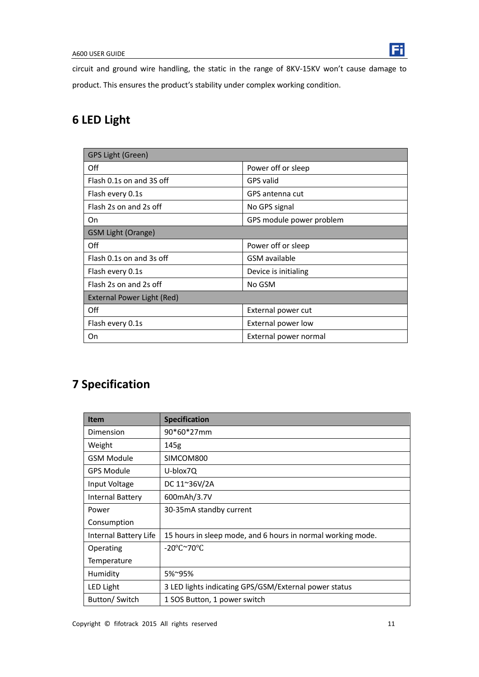

circuit and ground wire handling, the static in the range of 8KV-15KV won't cause damage to product. This ensures the product's stability under complex working condition.

# <span id="page-10-0"></span>**6 LED Light**

| GPS Light (Green)          |                          |  |  |  |
|----------------------------|--------------------------|--|--|--|
| Off                        | Power off or sleep       |  |  |  |
| Flash 0.1s on and 3S off   | <b>GPS</b> valid         |  |  |  |
| Flash every 0.1s           | GPS antenna cut          |  |  |  |
| Flash 2s on and 2s off     | No GPS signal            |  |  |  |
| On                         | GPS module power problem |  |  |  |
| <b>GSM Light (Orange)</b>  |                          |  |  |  |
| Off                        | Power off or sleep       |  |  |  |
| Flash 0.1s on and 3s off   | GSM available            |  |  |  |
| Flash every 0.1s           | Device is initialing     |  |  |  |
| Flash 2s on and 2s off     | No GSM                   |  |  |  |
| External Power Light (Red) |                          |  |  |  |
| Off                        | External power cut       |  |  |  |
| Flash every 0.1s           | External power low       |  |  |  |
| On                         | External power normal    |  |  |  |

# <span id="page-10-1"></span>**7 Specification**

| <b>Item</b>             | <b>Specification</b>                                        |
|-------------------------|-------------------------------------------------------------|
| Dimension               | 90*60*27mm                                                  |
| Weight                  | 145g                                                        |
| <b>GSM Module</b>       | SIMCOM800                                                   |
| <b>GPS Module</b>       | U-blox7Q                                                    |
| Input Voltage           | DC 11~36V/2A                                                |
| <b>Internal Battery</b> | 600mAh/3.7V                                                 |
| Power                   | 30-35mA standby current                                     |
| Consumption             |                                                             |
| Internal Battery Life   | 15 hours in sleep mode, and 6 hours in normal working mode. |
| Operating               | $-20^{\circ}$ C $\sim$ 70 $^{\circ}$ C                      |
| Temperature             |                                                             |
| Humidity                | 5%~95%                                                      |
| <b>LED Light</b>        | 3 LED lights indicating GPS/GSM/External power status       |
| Button/Switch           | 1 SOS Button, 1 power switch                                |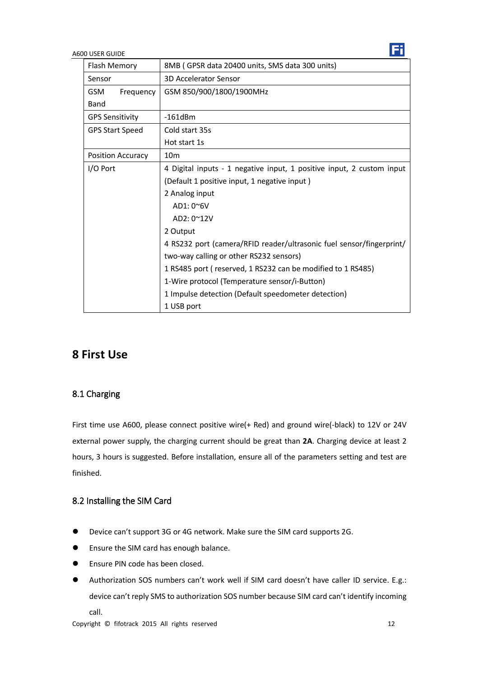| Flash Memory            | 8MB (GPSR data 20400 units, SMS data 300 units)                       |  |  |
|-------------------------|-----------------------------------------------------------------------|--|--|
| Sensor                  | <b>3D Accelerator Sensor</b>                                          |  |  |
| <b>GSM</b><br>Frequency | GSM 850/900/1800/1900MHz                                              |  |  |
| Band                    |                                                                       |  |  |
| <b>GPS Sensitivity</b>  | $-161dBm$                                                             |  |  |
| <b>GPS Start Speed</b>  | Cold start 35s                                                        |  |  |
|                         | Hot start 1s                                                          |  |  |
| Position Accuracy       | 10 <sub>m</sub>                                                       |  |  |
| I/O Port                | 4 Digital inputs - 1 negative input, 1 positive input, 2 custom input |  |  |
|                         | (Default 1 positive input, 1 negative input)                          |  |  |
|                         | 2 Analog input                                                        |  |  |
|                         | $AD1:0^{\sim}6V$                                                      |  |  |
|                         | AD2: 0~12V                                                            |  |  |
|                         | 2 Output                                                              |  |  |
|                         | 4 RS232 port (camera/RFID reader/ultrasonic fuel sensor/fingerprint/  |  |  |
|                         | two-way calling or other RS232 sensors)                               |  |  |
|                         | 1 RS485 port (reserved, 1 RS232 can be modified to 1 RS485)           |  |  |
|                         | 1-Wire protocol (Temperature sensor/i-Button)                         |  |  |
|                         | 1 Impulse detection (Default speedometer detection)                   |  |  |
|                         | 1 USB port                                                            |  |  |

## <span id="page-11-0"></span>**8 First Use**

### <span id="page-11-1"></span>8.1 Charging

First time use A600, please connect positive wire(+ Red) and ground wire(-black) to 12V or 24V external power supply, the charging current should be great than **2A**. Charging device at least 2 hours, 3 hours is suggested. Before installation, ensure all of the parameters setting and test are finished.

### <span id="page-11-2"></span>8.2 Installing the SIM Card

- Device can't support 3G or 4G network. Make sure the SIM card supports 2G.
- **•** Ensure the SIM card has enough balance.
- **Ensure PIN code has been closed.**
- Authorization SOS numbers can't work well if SIM card doesn't have caller ID service. E.g.: device can't reply SMS to authorization SOS number because SIM card can't identify incoming call.

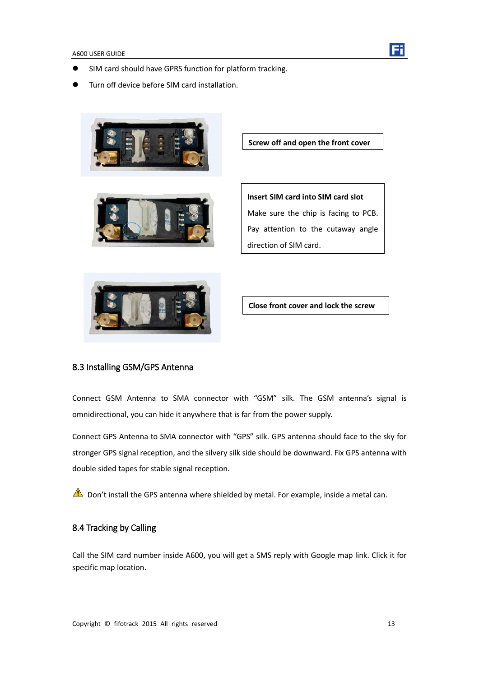

- SIM card should have GPRS function for platform tracking.
- Turn off device before SIM card installation.





**Insert SIM card into SIM card slot** Make sure the chip is facing to PCB. Pay attention to the cutaway angle direction of SIM card.

**Screw off and open the front cover**



**Close front cover and lock the screw**

### <span id="page-12-0"></span>8.3 Installing GSM/GPS Antenna

Connect GSM Antenna to SMA connector with "GSM" silk. The GSM antenna's signal is omnidirectional, you can hide it anywhere that is far from the power supply.

Connect GPS Antenna to SMA connector with "GPS" silk. GPS antenna should face to the sky for stronger GPS signal reception, and the silvery silk side should be downward. Fix GPS antenna with double sided tapes for stable signal reception.

<span id="page-12-1"></span>Don't install the GPS antenna where shielded by metal. For example, inside a metal can.

#### 8.4 Tracking by Calling

Call the SIM card number inside A600, you will get a SMS reply with Google map link. Click it for specific map location.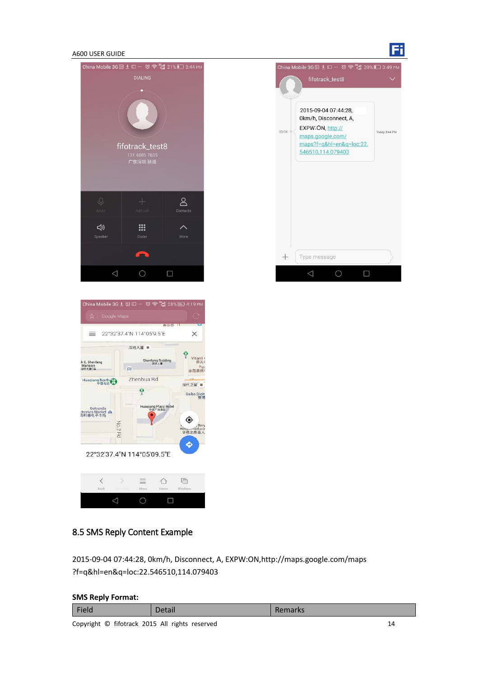





### <span id="page-13-0"></span>8.5 SMS Reply Content Example

2015-09-04 07:44:28, 0km/h, Disconnect, A, EXPW:ON,http://maps.google.com/maps ?f=q&hl=en&q=loc:22.546510,114.079403

#### **SMS Reply Format:**

| Field | Detail | Remarks |  |  |
|-------|--------|---------|--|--|
| .     |        |         |  |  |

Copyright © fifotrack 2015 All rights reserved 14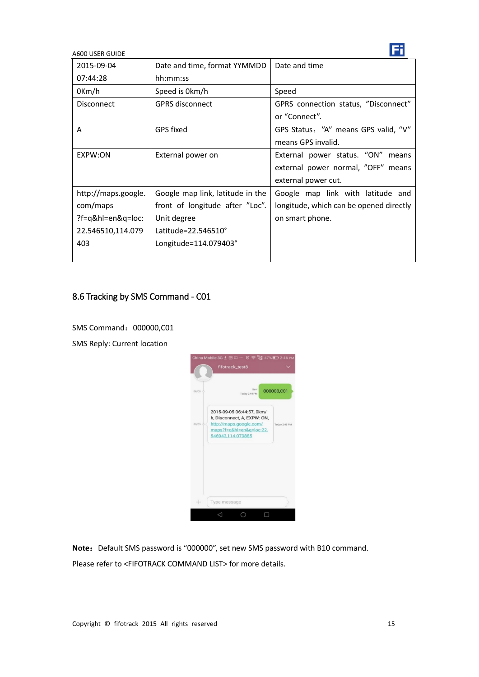| 2015-09-04          | Date and time, format YYMMDD     | Date and time                           |
|---------------------|----------------------------------|-----------------------------------------|
| 07:44:28            | hh:mm:ss                         |                                         |
| $0$ Km/h            | Speed is 0km/h                   | Speed                                   |
| Disconnect          | <b>GPRS disconnect</b>           | GPRS connection status, "Disconnect"    |
|                     |                                  | or "Connect".                           |
| A                   | GPS fixed                        | GPS Status, "A" means GPS valid, "V"    |
|                     |                                  | means GPS invalid.                      |
| EXPW:ON             | External power on                | External power status. "ON" means       |
|                     |                                  | external power normal, "OFF" means      |
|                     |                                  | external power cut.                     |
| http://maps.google. | Google map link, latitude in the | Google map link with latitude and       |
| com/maps            | front of longitude after "Loc".  | longitude, which can be opened directly |
| ?f=q&hl=en&q=loc:   | Unit degree                      | on smart phone.                         |
| 22.546510,114.079   | Latitude=22.546510°              |                                         |
| 403                 | Longitude=114.079403°            |                                         |
|                     |                                  |                                         |

## <span id="page-14-0"></span>8.6 Tracking by SMS Command - C01

SMS Command: 000000,C01

SMS Reply: Current location



Note: Default SMS password is "000000", set new SMS password with B10 command.

Please refer to <FIFOTRACK COMMAND LIST> for more details.

Fi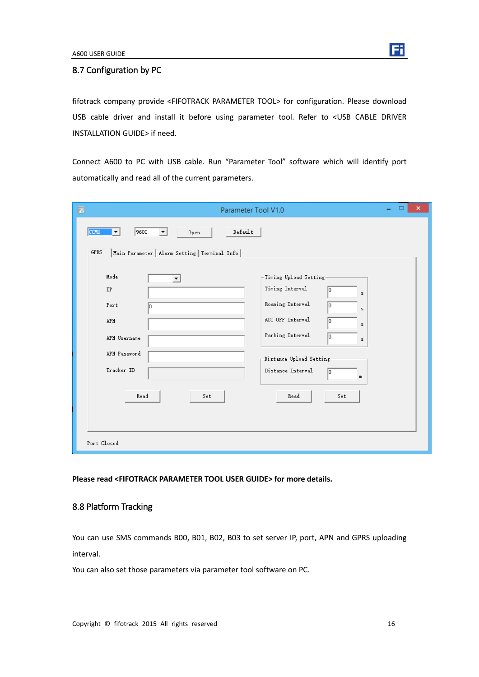

#### <span id="page-15-0"></span>8.7 Configuration by PC

fifotrack company provide <FIFOTRACK PARAMETER TOOL> for configuration. Please download USB cable driver and install it before using parameter tool. Refer to <USB CABLE DRIVER INSTALLATION GUIDE> if need.

Connect A600 to PC with USB cable. Run "Parameter Tool" software which will identify port automatically and read all of the current parameters.

| $\blacksquare$<br>Parameter Tool V1.0                                                                                                   | ×<br>▭                                                                                                                                                                                                                        |
|-----------------------------------------------------------------------------------------------------------------------------------------|-------------------------------------------------------------------------------------------------------------------------------------------------------------------------------------------------------------------------------|
| 9600<br>Default<br>COM <sub>6</sub><br>Open<br>$\overline{\phantom{a}}$<br>▼<br>GPRS<br>Main Parameter   Alarm Setting   Terminal Info  |                                                                                                                                                                                                                               |
| Mode<br>$\overline{\phantom{a}}$<br><b>IP</b><br>Port<br>ln.<br><b>APN</b><br>APN Username<br>APN Password<br>Tracker ID<br>Read<br>Set | Timing Upload Setting<br>Timing Interval<br>10<br>s.<br>Roaming Interval<br>Iо<br>z<br>ACC OFF Interval<br>10<br>s.<br>Parking Interval<br>lo<br>z.<br>Distance Upload Setting<br>Distance Interval<br>Iо<br>m<br>Read<br>Set |
| Port Closed                                                                                                                             |                                                                                                                                                                                                                               |

<span id="page-15-1"></span>**Please read <FIFOTRACK PARAMETER TOOL USER GUIDE> for more details.** 

### 8.8 Platform Tracking

You can use SMS commands B00, B01, B02, B03 to set server IP, port, APN and GPRS uploading interval.

You can also set those parameters via parameter tool software on PC.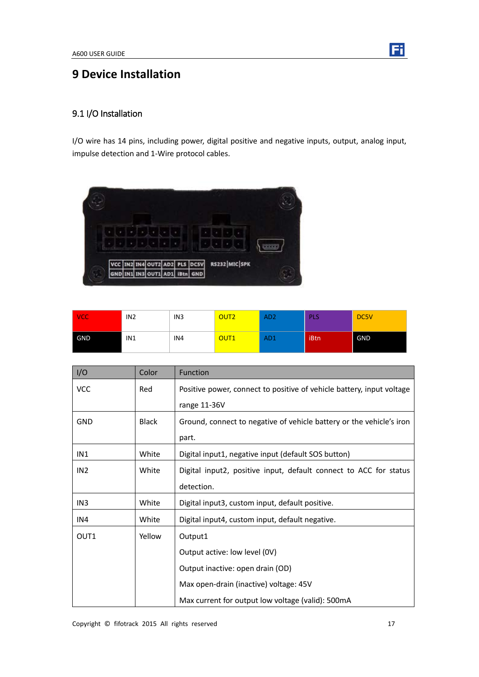<span id="page-16-0"></span>

### <span id="page-16-1"></span>9.1 I/O Installation

I/O wire has 14 pins, including power, digital positive and negative inputs, output, analog input, impulse detection and 1-Wire protocol cables.



| <b>VCC</b> | IN <sub>2</sub> | IN <sub>3</sub> | OUT <sub>2</sub> | AD <sub>2</sub> | <b>PLS</b> | DC5V       |
|------------|-----------------|-----------------|------------------|-----------------|------------|------------|
| GND        | IN1             | IN4             | OUT <sub>1</sub> | AD <sub>1</sub> | iBtn       | <b>GND</b> |

| I/O             | Color        | <b>Function</b>                                                       |
|-----------------|--------------|-----------------------------------------------------------------------|
| <b>VCC</b>      | Red          | Positive power, connect to positive of vehicle battery, input voltage |
|                 |              | range 11-36V                                                          |
| <b>GND</b>      | <b>Black</b> | Ground, connect to negative of vehicle battery or the vehicle's iron  |
|                 |              | part.                                                                 |
| IN1             | White        | Digital input1, negative input (default SOS button)                   |
| IN <sub>2</sub> | White        | Digital input2, positive input, default connect to ACC for status     |
|                 |              | detection.                                                            |
| IN <sub>3</sub> | White        | Digital input3, custom input, default positive.                       |
| IN4             | White        | Digital input4, custom input, default negative.                       |
| OUT1            | Yellow       | Output1                                                               |
|                 |              | Output active: low level (0V)                                         |
|                 |              | Output inactive: open drain (OD)                                      |
|                 |              | Max open-drain (inactive) voltage: 45V                                |
|                 |              | Max current for output low voltage (valid): 500mA                     |

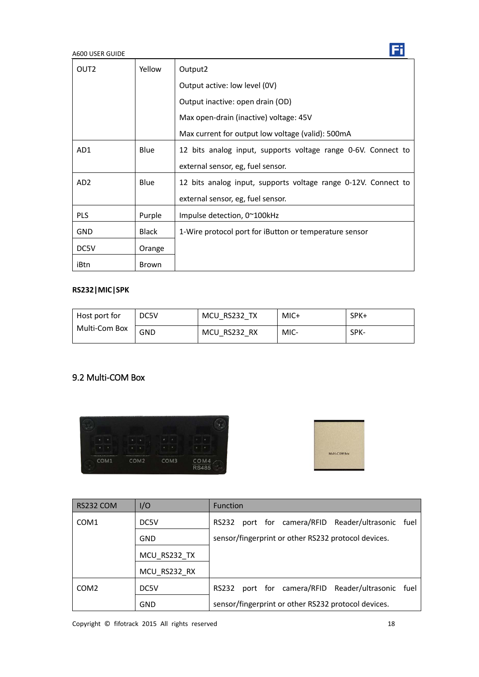| OUT <sub>2</sub> | Yellow       | Output2                                                        |  |
|------------------|--------------|----------------------------------------------------------------|--|
|                  |              | Output active: low level (0V)                                  |  |
|                  |              | Output inactive: open drain (OD)                               |  |
|                  |              | Max open-drain (inactive) voltage: 45V                         |  |
|                  |              | Max current for output low voltage (valid): 500mA              |  |
| AD1              | <b>Blue</b>  | 12 bits analog input, supports voltage range 0-6V. Connect to  |  |
|                  |              | external sensor, eg, fuel sensor.                              |  |
| AD <sub>2</sub>  | <b>Blue</b>  | 12 bits analog input, supports voltage range 0-12V. Connect to |  |
|                  |              | external sensor, eg, fuel sensor.                              |  |
| <b>PLS</b>       | Purple       | Impulse detection, $0^{\sim}100$ kHz                           |  |
| <b>GND</b>       | <b>Black</b> | 1-Wire protocol port for iButton or temperature sensor         |  |
| DC5V             | Orange       |                                                                |  |
| iBtn             | Brown        |                                                                |  |

### **RS232|MIC|SPK**

| Host port for<br>Multi-Com Box | DC5V       | MCU RS232 TX | MIC+ | SPK+ |
|--------------------------------|------------|--------------|------|------|
|                                | <b>GND</b> | MCU RS232 RX | MIC- | SPK- |

## <span id="page-17-0"></span>9.2 Multi-COM Box





| RS232 COM        | I/O          | <b>Function</b>                                             |
|------------------|--------------|-------------------------------------------------------------|
| COM <sub>1</sub> | DC5V         | RS232 port for camera/RFID Reader/ultrasonic fuel           |
|                  | GND          | sensor/fingerprint or other RS232 protocol devices.         |
|                  | MCU RS232 TX |                                                             |
|                  | MCU RS232 RX |                                                             |
| COM <sub>2</sub> | DC5V         | port for camera/RFID Reader/ultrasonic fuel<br><b>RS232</b> |
|                  | GND          | sensor/fingerprint or other RS232 protocol devices.         |

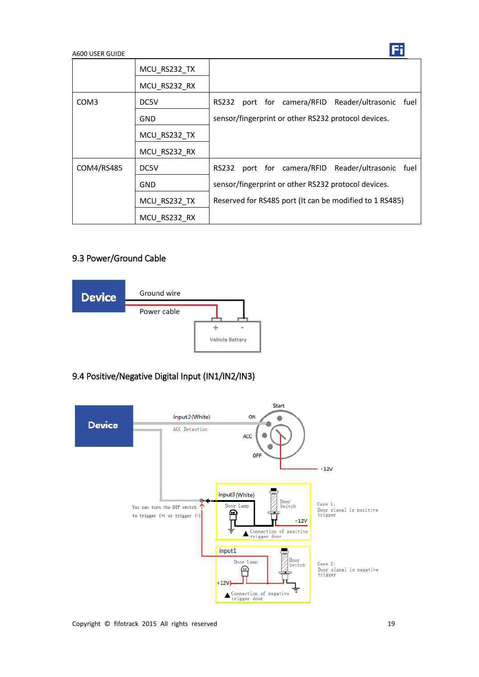|            | MCU RS232 TX |                                                             |
|------------|--------------|-------------------------------------------------------------|
|            | MCU RS232 RX |                                                             |
| COM3       | DC5V         | port for camera/RFID Reader/ultrasonic fuel<br>RS232        |
|            | GND          | sensor/fingerprint or other RS232 protocol devices.         |
|            | MCU_RS232_TX |                                                             |
|            | MCU RS232 RX |                                                             |
| COM4/RS485 | DC5V         | port for camera/RFID Reader/ultrasonic fuel<br><b>RS232</b> |
|            | <b>GND</b>   | sensor/fingerprint or other RS232 protocol devices.         |
|            | MCU_RS232 TX | Reserved for RS485 port (It can be modified to 1 RS485)     |
|            | MCU RS232 RX |                                                             |

## <span id="page-18-0"></span>9.3 Power/Ground Cable



## <span id="page-18-1"></span>9.4 Positive/Negative Digital Input (IN1/IN2/IN3)